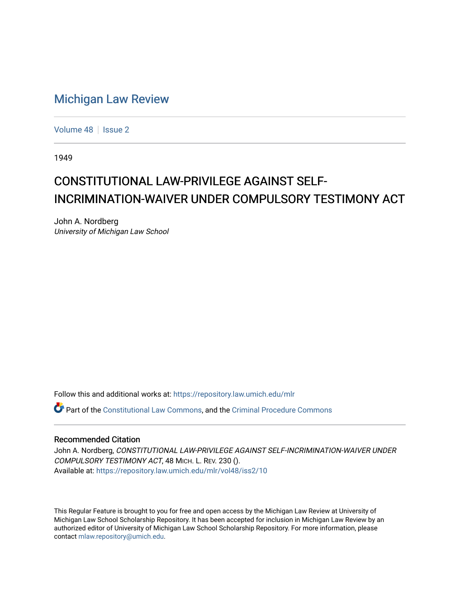## [Michigan Law Review](https://repository.law.umich.edu/mlr)

[Volume 48](https://repository.law.umich.edu/mlr/vol48) | [Issue 2](https://repository.law.umich.edu/mlr/vol48/iss2)

1949

## CONSTITUTIONAL LAW-PRIVILEGE AGAINST SELF-INCRIMINATION-WAIVER UNDER COMPULSORY TESTIMONY ACT

John A. Nordberg University of Michigan Law School

Follow this and additional works at: [https://repository.law.umich.edu/mlr](https://repository.law.umich.edu/mlr?utm_source=repository.law.umich.edu%2Fmlr%2Fvol48%2Fiss2%2F10&utm_medium=PDF&utm_campaign=PDFCoverPages) 

Part of the [Constitutional Law Commons,](http://network.bepress.com/hgg/discipline/589?utm_source=repository.law.umich.edu%2Fmlr%2Fvol48%2Fiss2%2F10&utm_medium=PDF&utm_campaign=PDFCoverPages) and the [Criminal Procedure Commons](http://network.bepress.com/hgg/discipline/1073?utm_source=repository.law.umich.edu%2Fmlr%2Fvol48%2Fiss2%2F10&utm_medium=PDF&utm_campaign=PDFCoverPages)

## Recommended Citation

John A. Nordberg, CONSTITUTIONAL LAW-PRIVILEGE AGAINST SELF-INCRIMINATION-WAIVER UNDER COMPULSORY TESTIMONY ACT, 48 MICH. L. REV. 230 (). Available at: [https://repository.law.umich.edu/mlr/vol48/iss2/10](https://repository.law.umich.edu/mlr/vol48/iss2/10?utm_source=repository.law.umich.edu%2Fmlr%2Fvol48%2Fiss2%2F10&utm_medium=PDF&utm_campaign=PDFCoverPages) 

This Regular Feature is brought to you for free and open access by the Michigan Law Review at University of Michigan Law School Scholarship Repository. It has been accepted for inclusion in Michigan Law Review by an authorized editor of University of Michigan Law School Scholarship Repository. For more information, please contact [mlaw.repository@umich.edu](mailto:mlaw.repository@umich.edu).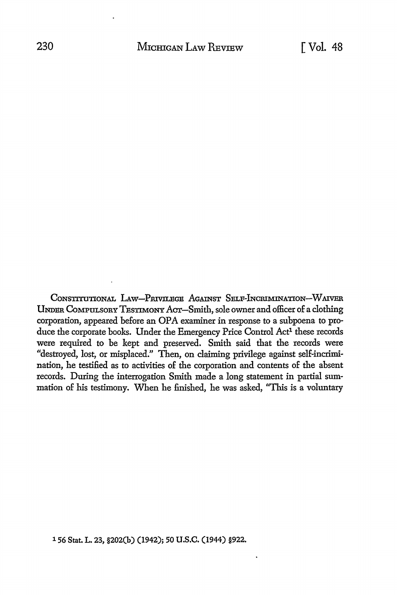CoNSTITUTIONAL LAw-PRIVILBGE AGAINST SELF-lNCRIMINATION-W AIVER UNDER CoMPULSORY TESTIMONY ACT-Smith, sole owner and officer of a clothing corporation, appeared before an OPA examiner in response to a subpoena to produce the corporate books. Under the Emergency Price Control Act<sup>1</sup> these records were required to be kept and preserved. Smith said that the records were "destroyed, lost, or misplaced.'' Then, on claiming privilege against self-incrimination, he testified as to activities of the corporation and contents of the absent records. During the interrogation Smith made a long statement in partial summation of his testimony. When he finished, he was asked, ''This is a voluntary

1 56 Stat. L. 23, §202(b) (1942); 50 U.S.C. (1944) §922.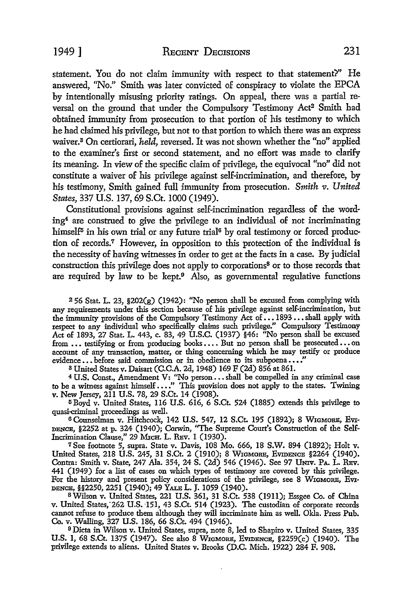statement. You do not claim immunity with respect to that statement'?" He answered, "No." Smith was later convicted of conspiracy to violate the EPCA by intentionally misusing priority ratings. On appeal, there was a partial reversal on the ground that under the Compulsory Testimony Act<sup>2</sup> Smith had obtained immunity from prosecution to that portion of his testimony to which he had claimed his privilege, but not to that portion to which there was an express waiver.3 On certiorari, *held,* reversed. It was not shown whether the "no" applied to the examiner's first or second statement, and no effort was made to clarify its meaning. In view of the specific claim of privilege, the equivocal "no" did not constitute a waiver of his privilege against self-incrimination, and therefore, by his testimony, Smith gained full immunity from prosecution. Smith v. United *States,* 337 U.S. 137, 69 S.Ct. 1000 (1949).

Constitutional provisions against self-incrimination regardless of the wording4 are construed to give the privilege to an individual of not incriminating himself<sup>5</sup> in his own trial or any future trial<sup>6</sup> by oral testimony or forced production of records.7 However, in opposition to this protection of the individual is the necessity of having witnesses in order to get at the facts in a case. By judicial construction this privilege does not apply *to* corporations8 or to those records that are required by law to be kept. $9$  Also, as governmental regulative functions

 $256$  Stat. L. 23,  $202(g)$  (1942): "No person shall be excused from complying with any requirements under this section because of his privilege against self-incrimination, but the immunity provisions of the Compulsory Testimony Act of  $\dots$  1893  $\dots$ shall apply with respect to any individual who specifically claims such privilege." Compulsory Testimony Act of 1893, 27 Stat. L. 443, c. 83, 49 U.S.C. (1937) §46: "No person shall be excused from ... testifying or from producing books .... But no person shall be prosecuted ... on account of any transaction, matter, or thing concerning which be may testify or produce  $evidence \ldots$  before said commission or in obedience to its subpoena $\ldots$ ."

s United States v. Daisart (C.C.A. 2d, 1948) 169 F (2d) 856 at 861.

<sup>4</sup>U.S. Const., Amendment V: ''No person ••• shall be compelled in any criminal case to be a witness against himself ...." This provision does not apply to the states. Twining v. New Jersey, 211 U.S. 78, 29 S.Ct. 14 (1908).

<sup>5</sup> Boyd v. United States, 116 U.S. 616, 6 S.Ct. 524 (1885) extends this privilege to quasi-criminal proceedings as well.

6 Counselman v. Hitchcock, 142 U.S. 547, 12 S.Ct. 195 (1892); 8 W1cMoRE, EVI-DENCE, §2252 at p. 324 (1940); Corwin, "The Supreme Court's Construction of the Self-Incrimination Clause," 29 MICH. L. REV. 1 (1930).

7 See footnote 5, supra. State v. Davis, 108 Mo. 666, 18 S.W. 894 (1892); Holt v. United States, 218 U.S. 245, 31 S.Ct. 2 (1910); 8 W1cMORE, EVIDENCE §2264 (1940). Contra: Smith v. State, 247 Ala. 354, 24 S. (2d) 546 (1946). See 97 UNIV. PA. L. REv. 441 (1949) for a list of cases on which types of testimony are covered by this privilege. For the history and present policy considerations of the privilege, see 8 WIGMORE, EVI-DENCE, §§2250, 2251 (1940); 49 YALE L. J. 1059 (1940).

8 Wilson v. United States, 221 U.S. 361, 31 S.Ct. 538 (1911); Essgee Co. of China v. United States, 262 U.S. 151, 43 S.Ct. 514 (1923). The custodian of corporate records cannot refuse to produce them although they will incriminate him as well. Okla. Press Pub. Co. v. Walling, 327 U.S. 186, 66 S.Ct. 494 (1946).

<sup>9</sup>Dicta in Wilson v. United States, supra, note 8, led to Shapiro v. United States, 335 U.S. 1, 68 S.Ct. 1375 (1947). See also 8 WIGMORB, EVIDENCE,  $$2259(c)$  (1940). The privilege extends to aliens. United States v. Brooks (D.C. Mich. 1922) 284 F. 908.